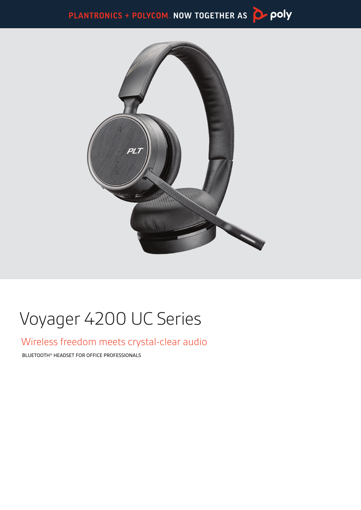PLANTRONICS + POLYCOM. NOW TOGETHER AS Depoly



# Voyager 4200 UC Series

### Wireless freedom meets crystal-clear audio

BLUETOOTH® HEADSET FOR OFFICE PROFESSIONALS